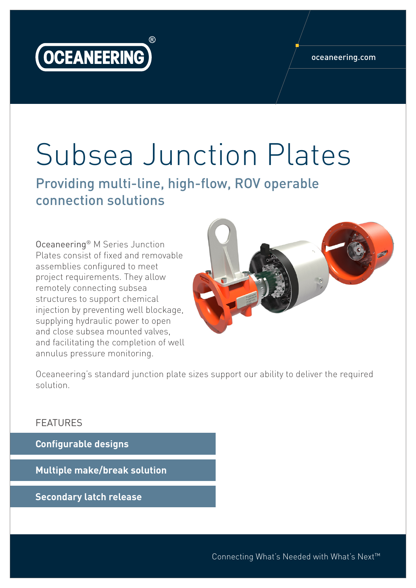

## oceaneering.com

## Subsea Junction Plates

Providing multi-line, high-flow, ROV operable connection solutions

Oceaneering® M Series Junction Plates consist of fixed and removable assemblies configured to meet project requirements. They allow remotely connecting subsea structures to support chemical injection by preventing well blockage, supplying hydraulic power to open and close subsea mounted valves, and facilitating the completion of well annulus pressure monitoring.



Oceaneering's standard junction plate sizes support our ability to deliver the required solution.

## FEATURES

**Configurable designs**

**Multiple make/break solution**

**Secondary latch release**

Connecting What's Needed with What's Next™